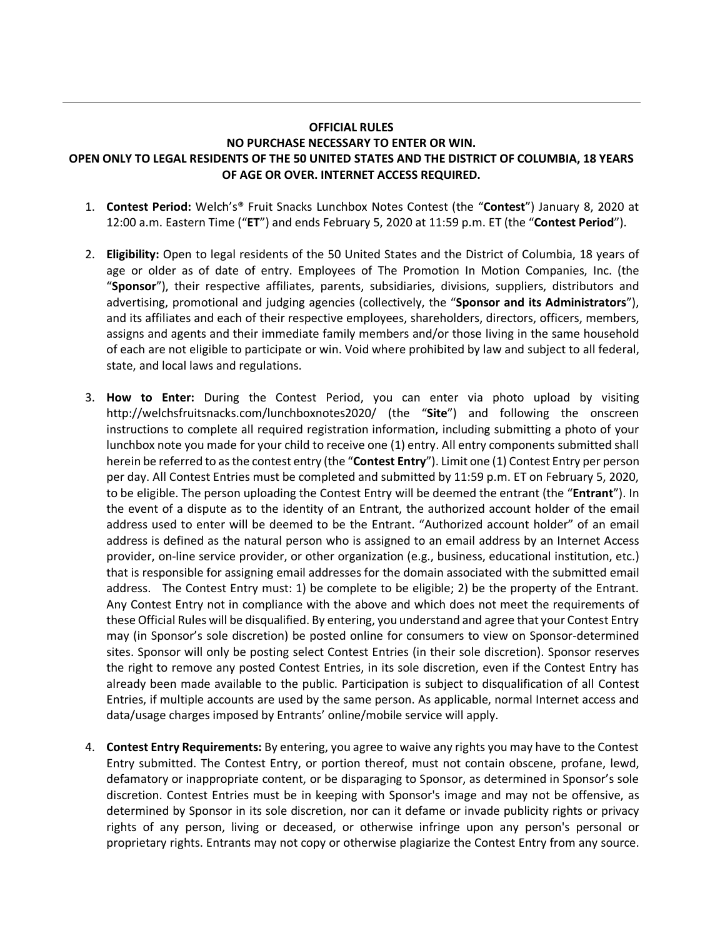## **OFFICIAL RULES NO PURCHASE NECESSARY TO ENTER OR WIN. OPEN ONLY TO LEGAL RESIDENTS OF THE 50 UNITED STATES AND THE DISTRICT OF COLUMBIA, 18 YEARS OF AGE OR OVER. INTERNET ACCESS REQUIRED.**

- 1. **Contest Period:** Welch's® Fruit Snacks Lunchbox Notes Contest (the "**Contest**") January 8, 2020 at 12:00 a.m. Eastern Time ("**ET**") and ends February 5, 2020 at 11:59 p.m. ET (the "**Contest Period**").
- 2. **Eligibility:** Open to legal residents of the 50 United States and the District of Columbia, 18 years of age or older as of date of entry. Employees of The Promotion In Motion Companies, Inc. (the "**Sponsor**"), their respective affiliates, parents, subsidiaries, divisions, suppliers, distributors and advertising, promotional and judging agencies (collectively, the "**Sponsor and its Administrators**"), and its affiliates and each of their respective employees, shareholders, directors, officers, members, assigns and agents and their immediate family members and/or those living in the same household of each are not eligible to participate or win. Void where prohibited by law and subject to all federal, state, and local laws and regulations.
- 3. **How to Enter:** During the Contest Period, you can enter via photo upload by visiting http://welchsfruitsnacks.com/lunchboxnotes2020/ (the "**Site**") and following the onscreen instructions to complete all required registration information, including submitting a photo of your lunchbox note you made for your child to receive one (1) entry. All entry components submitted shall herein be referred to asthe contest entry (the "**Contest Entry**"). Limit one (1) Contest Entry per person per day. All Contest Entries must be completed and submitted by 11:59 p.m. ET on February 5, 2020, to be eligible. The person uploading the Contest Entry will be deemed the entrant (the "**Entrant**"). In the event of a dispute as to the identity of an Entrant, the authorized account holder of the email address used to enter will be deemed to be the Entrant. "Authorized account holder" of an email address is defined as the natural person who is assigned to an email address by an Internet Access provider, on-line service provider, or other organization (e.g., business, educational institution, etc.) that is responsible for assigning email addresses for the domain associated with the submitted email address. The Contest Entry must: 1) be complete to be eligible; 2) be the property of the Entrant. Any Contest Entry not in compliance with the above and which does not meet the requirements of these Official Rules will be disqualified. By entering, you understand and agree that your Contest Entry may (in Sponsor's sole discretion) be posted online for consumers to view on Sponsor-determined sites. Sponsor will only be posting select Contest Entries (in their sole discretion). Sponsor reserves the right to remove any posted Contest Entries, in its sole discretion, even if the Contest Entry has already been made available to the public. Participation is subject to disqualification of all Contest Entries, if multiple accounts are used by the same person. As applicable, normal Internet access and data/usage charges imposed by Entrants' online/mobile service will apply.
- 4. **Contest Entry Requirements:** By entering, you agree to waive any rights you may have to the Contest Entry submitted. The Contest Entry, or portion thereof, must not contain obscene, profane, lewd, defamatory or inappropriate content, or be disparaging to Sponsor, as determined in Sponsor's sole discretion. Contest Entries must be in keeping with Sponsor's image and may not be offensive, as determined by Sponsor in its sole discretion, nor can it defame or invade publicity rights or privacy rights of any person, living or deceased, or otherwise infringe upon any person's personal or proprietary rights. Entrants may not copy or otherwise plagiarize the Contest Entry from any source.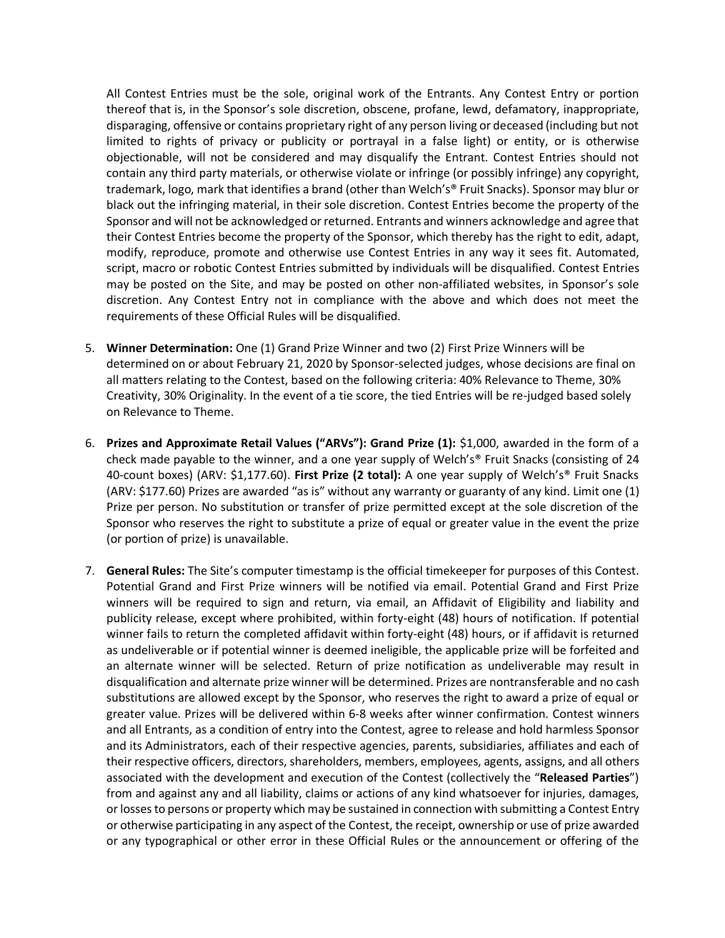All Contest Entries must be the sole, original work of the Entrants. Any Contest Entry or portion thereof that is, in the Sponsor's sole discretion, obscene, profane, lewd, defamatory, inappropriate, disparaging, offensive or contains proprietary right of any person living or deceased (including but not limited to rights of privacy or publicity or portrayal in a false light) or entity, or is otherwise objectionable, will not be considered and may disqualify the Entrant. Contest Entries should not contain any third party materials, or otherwise violate or infringe (or possibly infringe) any copyright, trademark, logo, mark that identifies a brand (other than Welch's® Fruit Snacks). Sponsor may blur or black out the infringing material, in their sole discretion. Contest Entries become the property of the Sponsor and will not be acknowledged or returned. Entrants and winners acknowledge and agree that their Contest Entries become the property of the Sponsor, which thereby has the right to edit, adapt, modify, reproduce, promote and otherwise use Contest Entries in any way it sees fit. Automated, script, macro or robotic Contest Entries submitted by individuals will be disqualified. Contest Entries may be posted on the Site, and may be posted on other non-affiliated websites, in Sponsor's sole discretion. Any Contest Entry not in compliance with the above and which does not meet the requirements of these Official Rules will be disqualified.

- 5. **Winner Determination:** One (1) Grand Prize Winner and two (2) First Prize Winners will be determined on or about February 21, 2020 by Sponsor-selected judges, whose decisions are final on all matters relating to the Contest, based on the following criteria: 40% Relevance to Theme, 30% Creativity, 30% Originality. In the event of a tie score, the tied Entries will be re-judged based solely on Relevance to Theme.
- 6. **Prizes and Approximate Retail Values ("ARVs"): Grand Prize (1):** \$1,000, awarded in the form of a check made payable to the winner, and a one year supply of Welch's® Fruit Snacks (consisting of 24 40-count boxes) (ARV: \$1,177.60). **First Prize (2 total):** A one year supply of Welch's® Fruit Snacks (ARV: \$177.60) Prizes are awarded "as is" without any warranty or guaranty of any kind. Limit one (1) Prize per person. No substitution or transfer of prize permitted except at the sole discretion of the Sponsor who reserves the right to substitute a prize of equal or greater value in the event the prize (or portion of prize) is unavailable.
- 7. **General Rules:** The Site's computer timestamp is the official timekeeper for purposes of this Contest. Potential Grand and First Prize winners will be notified via email. Potential Grand and First Prize winners will be required to sign and return, via email, an Affidavit of Eligibility and liability and publicity release, except where prohibited, within forty-eight (48) hours of notification. If potential winner fails to return the completed affidavit within forty-eight (48) hours, or if affidavit is returned as undeliverable or if potential winner is deemed ineligible, the applicable prize will be forfeited and an alternate winner will be selected. Return of prize notification as undeliverable may result in disqualification and alternate prize winner will be determined. Prizes are nontransferable and no cash substitutions are allowed except by the Sponsor, who reserves the right to award a prize of equal or greater value. Prizes will be delivered within 6-8 weeks after winner confirmation. Contest winners and all Entrants, as a condition of entry into the Contest, agree to release and hold harmless Sponsor and its Administrators, each of their respective agencies, parents, subsidiaries, affiliates and each of their respective officers, directors, shareholders, members, employees, agents, assigns, and all others associated with the development and execution of the Contest (collectively the "**Released Parties**") from and against any and all liability, claims or actions of any kind whatsoever for injuries, damages, or losses to persons or property which may be sustained in connection with submitting a Contest Entry or otherwise participating in any aspect of the Contest, the receipt, ownership or use of prize awarded or any typographical or other error in these Official Rules or the announcement or offering of the